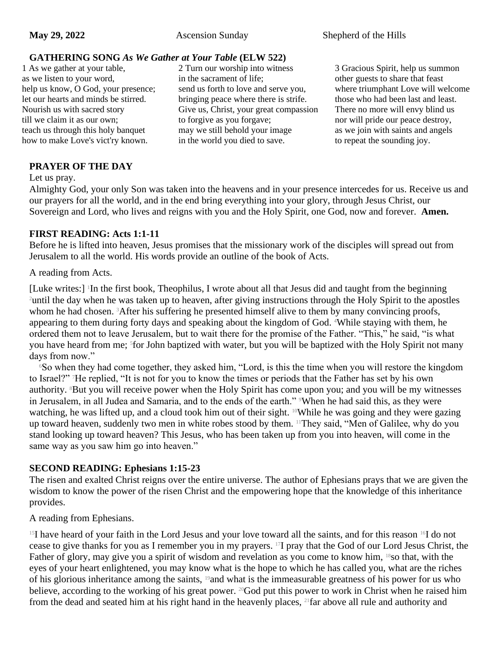### **GATHERING SONG** *As We Gather at Your Table* **(ELW 522)**

1 As we gather at your table, as we listen to your word, help us know, O God, your presence; let our hearts and minds be stirred. Nourish us with sacred story till we claim it as our own; teach us through this holy banquet how to make Love's vict'ry known.

2 Turn our worship into witness in the sacrament of life; send us forth to love and serve you, bringing peace where there is strife. Give us, Christ, your great compassion to forgive as you forgave; may we still behold your image in the world you died to save.

3 Gracious Spirit, help us summon other guests to share that feast where triumphant Love will welcome those who had been last and least. There no more will envy blind us nor will pride our peace destroy, as we join with saints and angels to repeat the sounding joy.

### **PRAYER OF THE DAY**

Let us pray.

Almighty God, your only Son was taken into the heavens and in your presence intercedes for us. Receive us and our prayers for all the world, and in the end bring everything into your glory, through Jesus Christ, our Sovereign and Lord, who lives and reigns with you and the Holy Spirit, one God, now and forever. **Amen.**

#### **FIRST READING: Acts 1:1-11**

Before he is lifted into heaven, Jesus promises that the missionary work of the disciples will spread out from Jerusalem to all the world. His words provide an outline of the book of Acts.

A reading from Acts.

[Luke writes:] In the first book, Theophilus, I wrote about all that Jesus did and taught from the beginning <sup>2</sup>until the day when he was taken up to heaven, after giving instructions through the Holy Spirit to the apostles whom he had chosen. <sup>3</sup>After his suffering he presented himself alive to them by many convincing proofs, appearing to them during forty days and speaking about the kingdom of God. 4While staying with them, he ordered them not to leave Jerusalem, but to wait there for the promise of the Father. "This," he said, "is what you have heard from me; <sup>5</sup> for John baptized with water, but you will be baptized with the Holy Spirit not many days from now."

<sup>6</sup>So when they had come together, they asked him, "Lord, is this the time when you will restore the kingdom to Israel?" 7He replied, "It is not for you to know the times or periods that the Father has set by his own authority. <sup>8</sup>But you will receive power when the Holy Spirit has come upon you; and you will be my witnesses in Jerusalem, in all Judea and Samaria, and to the ends of the earth." When he had said this, as they were watching, he was lifted up, and a cloud took him out of their sight. <sup>10</sup>While he was going and they were gazing up toward heaven, suddenly two men in white robes stood by them. 11They said, "Men of Galilee, why do you stand looking up toward heaven? This Jesus, who has been taken up from you into heaven, will come in the same way as you saw him go into heaven."

### **SECOND READING: Ephesians 1:15-23**

The risen and exalted Christ reigns over the entire universe. The author of Ephesians prays that we are given the wisdom to know the power of the risen Christ and the empowering hope that the knowledge of this inheritance provides.

A reading from Ephesians.

<sup>15</sup>I have heard of your faith in the Lord Jesus and your love toward all the saints, and for this reason <sup>16</sup>I do not cease to give thanks for you as I remember you in my prayers. 17I pray that the God of our Lord Jesus Christ, the Father of glory, may give you a spirit of wisdom and revelation as you come to know him, <sup>18</sup>so that, with the eyes of your heart enlightened, you may know what is the hope to which he has called you, what are the riches of his glorious inheritance among the saints, 19and what is the immeasurable greatness of his power for us who believe, according to the working of his great power. <sup>20</sup>God put this power to work in Christ when he raised him from the dead and seated him at his right hand in the heavenly places, 21far above all rule and authority and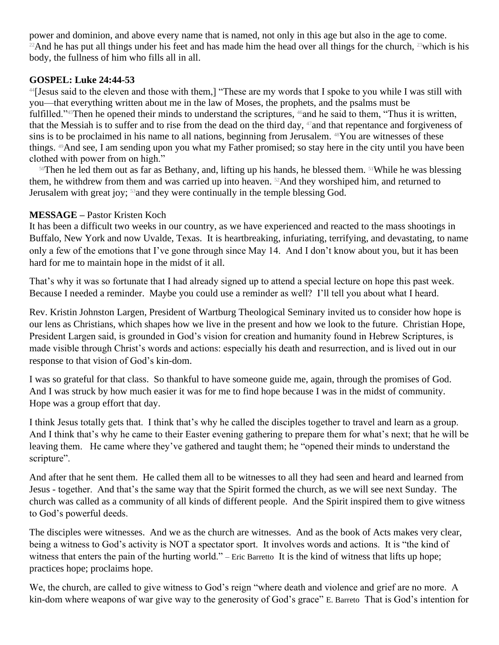power and dominion, and above every name that is named, not only in this age but also in the age to come. <sup>22</sup>And he has put all things under his feet and has made him the head over all things for the church, <sup>23</sup>which is his body, the fullness of him who fills all in all.

### **GOSPEL: Luke 24:44-53**

<sup>44</sup>[Jesus said to the eleven and those with them,] "These are my words that I spoke to you while I was still with you—that everything written about me in the law of Moses, the prophets, and the psalms must be fulfilled."<sup>45</sup>Then he opened their minds to understand the scriptures, <sup>46</sup>and he said to them, "Thus it is written, that the Messiah is to suffer and to rise from the dead on the third day, <sup>47</sup> and that repentance and forgiveness of sins is to be proclaimed in his name to all nations, beginning from Jerusalem. 48You are witnesses of these things. 49And see, I am sending upon you what my Father promised; so stay here in the city until you have been clothed with power from on high."

<sup>50</sup>Then he led them out as far as Bethany, and, lifting up his hands, he blessed them. <sup>51</sup>While he was blessing them, he withdrew from them and was carried up into heaven. 52And they worshiped him, and returned to Jerusalem with great joy; <sup>53</sup> and they were continually in the temple blessing God.

# **MESSAGE –** Pastor Kristen Koch

It has been a difficult two weeks in our country, as we have experienced and reacted to the mass shootings in Buffalo, New York and now Uvalde, Texas. It is heartbreaking, infuriating, terrifying, and devastating, to name only a few of the emotions that I've gone through since May 14. And I don't know about you, but it has been hard for me to maintain hope in the midst of it all.

That's why it was so fortunate that I had already signed up to attend a special lecture on hope this past week. Because I needed a reminder. Maybe you could use a reminder as well? I'll tell you about what I heard.

Rev. Kristin Johnston Largen, President of Wartburg Theological Seminary invited us to consider how hope is our lens as Christians, which shapes how we live in the present and how we look to the future. Christian Hope, President Largen said, is grounded in God's vision for creation and humanity found in Hebrew Scriptures, is made visible through Christ's words and actions: especially his death and resurrection, and is lived out in our response to that vision of God's kin-dom.

I was so grateful for that class. So thankful to have someone guide me, again, through the promises of God. And I was struck by how much easier it was for me to find hope because I was in the midst of community. Hope was a group effort that day.

I think Jesus totally gets that. I think that's why he called the disciples together to travel and learn as a group. And I think that's why he came to their Easter evening gathering to prepare them for what's next; that he will be leaving them. He came where they've gathered and taught them; he "opened their minds to understand the scripture".

And after that he sent them. He called them all to be witnesses to all they had seen and heard and learned from Jesus - together. And that's the same way that the Spirit formed the church, as we will see next Sunday. The church was called as a community of all kinds of different people. And the Spirit inspired them to give witness to God's powerful deeds.

The disciples were witnesses. And we as the church are witnesses. And as the book of Acts makes very clear, being a witness to God's activity is NOT a spectator sport. It involves words and actions. It is "the kind of witness that enters the pain of the hurting world." – Eric Barretto It is the kind of witness that lifts up hope; practices hope; proclaims hope.

We, the church, are called to give witness to God's reign "where death and violence and grief are no more. A kin-dom where weapons of war give way to the generosity of God's grace" E. Barreto That is God's intention for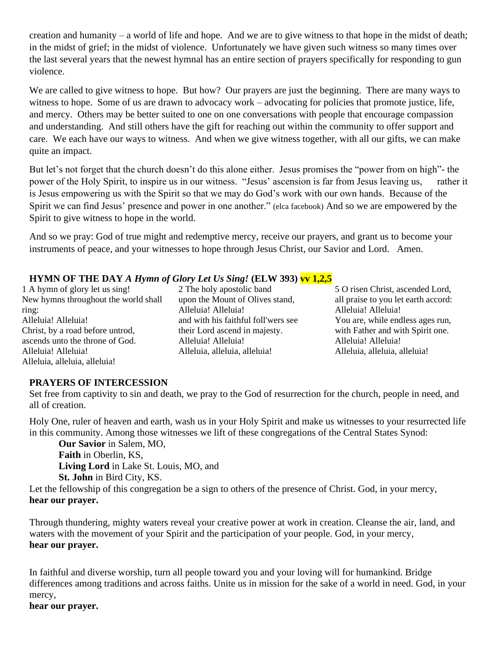creation and humanity – a world of life and hope. And we are to give witness to that hope in the midst of death; in the midst of grief; in the midst of violence. Unfortunately we have given such witness so many times over the last several years that the newest hymnal has an entire section of prayers specifically for responding to gun violence.

We are called to give witness to hope. But how? Our prayers are just the beginning. There are many ways to witness to hope. Some of us are drawn to advocacy work – advocating for policies that promote justice, life, and mercy. Others may be better suited to one on one conversations with people that encourage compassion and understanding. And still others have the gift for reaching out within the community to offer support and care. We each have our ways to witness. And when we give witness together, with all our gifts, we can make quite an impact.

But let's not forget that the church doesn't do this alone either. Jesus promises the "power from on high"- the power of the Holy Spirit, to inspire us in our witness. "Jesus' ascension is far from Jesus leaving us, rather it is Jesus empowering us with the Spirit so that we may do God's work with our own hands. Because of the Spirit we can find Jesus' presence and power in one another." (elca facebook) And so we are empowered by the Spirit to give witness to hope in the world.

And so we pray: God of true might and redemptive mercy, receive our prayers, and grant us to become your instruments of peace, and your witnesses to hope through Jesus Christ, our Savior and Lord. Amen.

# **HYMN OF THE DAY** *A Hymn of Glory Let Us Sing!* **(ELW 393) vv 1,2,5**

1 A hymn of glory let us sing! New hymns throughout the world shall ring: Alleluia! Alleluia! Christ, by a road before untrod, ascends unto the throne of God. Alleluia! Alleluia! Alleluia, alleluia, alleluia!

2 The holy apostolic band upon the Mount of Olives stand, Alleluia! Alleluia! and with his faithful foll'wers see their Lord ascend in majesty. Alleluia! Alleluia! Alleluia, alleluia, alleluia!

5 O risen Christ, ascended Lord, all praise to you let earth accord: Alleluia! Alleluia! You are, while endless ages run, with Father and with Spirit one. Alleluia! Alleluia! Alleluia, alleluia, alleluia!

### **PRAYERS OF INTERCESSION**

Set free from captivity to sin and death, we pray to the God of resurrection for the church, people in need, and all of creation.

Holy One, ruler of heaven and earth, wash us in your Holy Spirit and make us witnesses to your resurrected life in this community. Among those witnesses we lift of these congregations of the Central States Synod:

**Our Savior** in Salem, MO, **Faith** in Oberlin, KS, **Living Lord** in Lake St. Louis, MO, and **St. John** in Bird City, KS.

Let the fellowship of this congregation be a sign to others of the presence of Christ. God, in your mercy, **hear our prayer.**

Through thundering, mighty waters reveal your creative power at work in creation. Cleanse the air, land, and waters with the movement of your Spirit and the participation of your people. God, in your mercy, **hear our prayer.**

In faithful and diverse worship, turn all people toward you and your loving will for humankind. Bridge differences among traditions and across faiths. Unite us in mission for the sake of a world in need. God, in your mercy,

**hear our prayer.**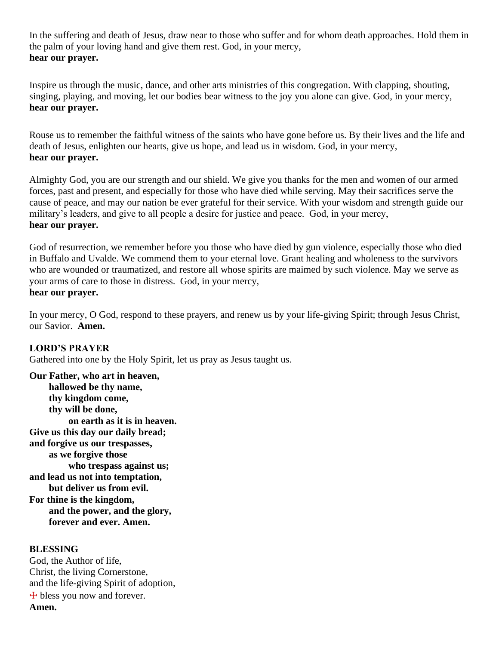In the suffering and death of Jesus, draw near to those who suffer and for whom death approaches. Hold them in the palm of your loving hand and give them rest. God, in your mercy, **hear our prayer.**

Inspire us through the music, dance, and other arts ministries of this congregation. With clapping, shouting, singing, playing, and moving, let our bodies bear witness to the joy you alone can give. God, in your mercy, **hear our prayer.**

Rouse us to remember the faithful witness of the saints who have gone before us. By their lives and the life and death of Jesus, enlighten our hearts, give us hope, and lead us in wisdom. God, in your mercy, **hear our prayer.**

Almighty God, you are our strength and our shield. We give you thanks for the men and women of our armed forces, past and present, and especially for those who have died while serving. May their sacrifices serve the cause of peace, and may our nation be ever grateful for their service. With your wisdom and strength guide our military's leaders, and give to all people a desire for justice and peace. God, in your mercy, **hear our prayer.**

God of resurrection, we remember before you those who have died by gun violence, especially those who died in Buffalo and Uvalde. We commend them to your eternal love. Grant healing and wholeness to the survivors who are wounded or traumatized, and restore all whose spirits are maimed by such violence. May we serve as your arms of care to those in distress. God, in your mercy,

# **hear our prayer.**

In your mercy, O God, respond to these prayers, and renew us by your life-giving Spirit; through Jesus Christ, our Savior. **Amen.**

#### **LORD'S PRAYER**

Gathered into one by the Holy Spirit, let us pray as Jesus taught us.

**Our Father, who art in heaven, hallowed be thy name, thy kingdom come, thy will be done, on earth as it is in heaven. Give us this day our daily bread; and forgive us our trespasses, as we forgive those who trespass against us; and lead us not into temptation, but deliver us from evil. For thine is the kingdom, and the power, and the glory, forever and ever. Amen.**

#### **BLESSING**

God, the Author of life, Christ, the living Cornerstone, and the life-giving Spirit of adoption,  $+$  bless you now and forever. **Amen.**